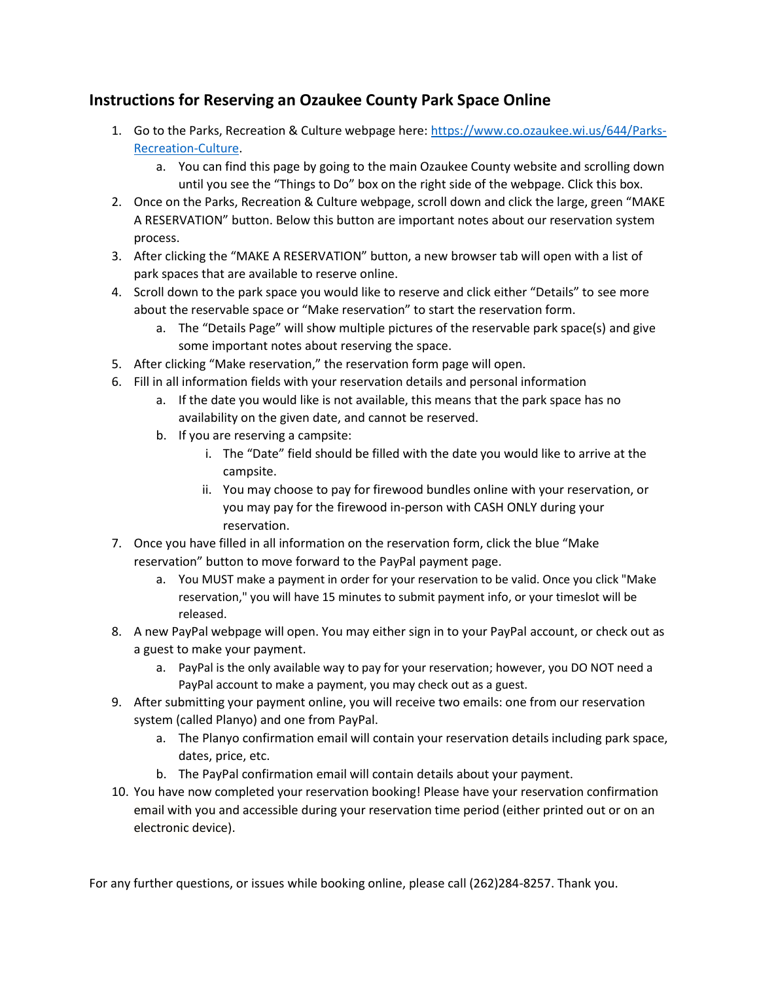## **Instructions for Reserving an Ozaukee County Park Space Online**

- 1. Go to the Parks, Recreation & Culture webpage here[: https://www.co.ozaukee.wi.us/644/Parks-](https://www.co.ozaukee.wi.us/644/Parks-Recreation-Culture)[Recreation-Culture.](https://www.co.ozaukee.wi.us/644/Parks-Recreation-Culture)
	- a. You can find this page by going to the main Ozaukee County website and scrolling down until you see the "Things to Do" box on the right side of the webpage. Click this box.
- 2. Once on the Parks, Recreation & Culture webpage, scroll down and click the large, green "MAKE A RESERVATION" button. Below this button are important notes about our reservation system process.
- 3. After clicking the "MAKE A RESERVATION" button, a new browser tab will open with a list of park spaces that are available to reserve online.
- 4. Scroll down to the park space you would like to reserve and click either "Details" to see more about the reservable space or "Make reservation" to start the reservation form.
	- a. The "Details Page" will show multiple pictures of the reservable park space(s) and give some important notes about reserving the space.
- 5. After clicking "Make reservation," the reservation form page will open.
- 6. Fill in all information fields with your reservation details and personal information
	- a. If the date you would like is not available, this means that the park space has no availability on the given date, and cannot be reserved.
	- b. If you are reserving a campsite:
		- i. The "Date" field should be filled with the date you would like to arrive at the campsite.
		- ii. You may choose to pay for firewood bundles online with your reservation, or you may pay for the firewood in-person with CASH ONLY during your reservation.
- 7. Once you have filled in all information on the reservation form, click the blue "Make reservation" button to move forward to the PayPal payment page.
	- a. You MUST make a payment in order for your reservation to be valid. Once you click "Make reservation," you will have 15 minutes to submit payment info, or your timeslot will be released.
- 8. A new PayPal webpage will open. You may either sign in to your PayPal account, or check out as a guest to make your payment.
	- a. PayPal is the only available way to pay for your reservation; however, you DO NOT need a PayPal account to make a payment, you may check out as a guest.
- 9. After submitting your payment online, you will receive two emails: one from our reservation system (called Planyo) and one from PayPal.
	- a. The Planyo confirmation email will contain your reservation details including park space, dates, price, etc.
	- b. The PayPal confirmation email will contain details about your payment.
- 10. You have now completed your reservation booking! Please have your reservation confirmation email with you and accessible during your reservation time period (either printed out or on an electronic device).

For any further questions, or issues while booking online, please call (262)284-8257. Thank you.